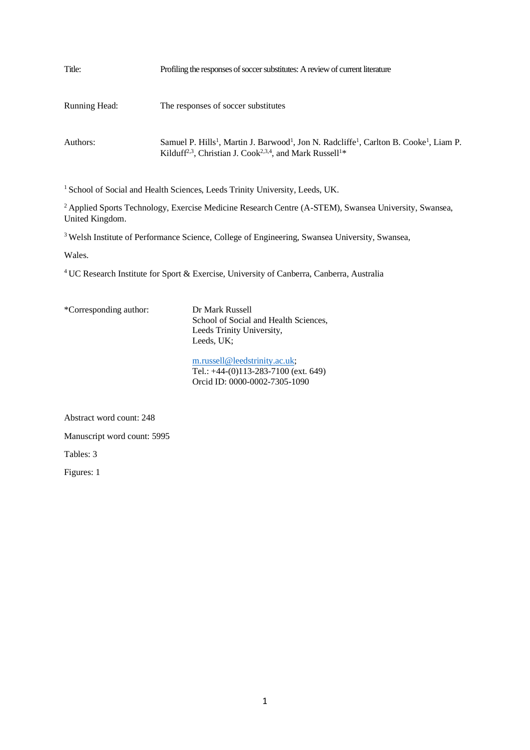| Title:        | Profiling the responses of soccer substitutes: A review of current literature                                                                                                                                                           |  |  |  |
|---------------|-----------------------------------------------------------------------------------------------------------------------------------------------------------------------------------------------------------------------------------------|--|--|--|
| Running Head: | The responses of soccer substitutes                                                                                                                                                                                                     |  |  |  |
| Authors:      | Samuel P. Hills <sup>1</sup> , Martin J. Barwood <sup>1</sup> , Jon N. Radcliffe <sup>1</sup> , Carlton B. Cooke <sup>1</sup> , Liam P.<br>Kilduff <sup>2,3</sup> , Christian J. Cook <sup>2,3,4</sup> , and Mark Russell <sup>1*</sup> |  |  |  |

<sup>1</sup> School of Social and Health Sciences, Leeds Trinity University, Leeds, UK.

<sup>2</sup> Applied Sports Technology, Exercise Medicine Research Centre (A-STEM), Swansea University, Swansea, United Kingdom.

<sup>3</sup>Welsh Institute of Performance Science, College of Engineering, Swansea University, Swansea,

Wales.

<sup>4</sup>UC Research Institute for Sport & Exercise, University of Canberra, Canberra, Australia

\*Corresponding author: Dr Mark Russell

School of Social and Health Sciences, Leeds Trinity University, Leeds, UK;

[m.russell@leedstrinity.ac.uk;](mailto:m.russell@leedstrinity.ac.uk) Tel.: +44-(0)113-283-7100 (ext. 649) Orcid ID: 0000-0002-7305-1090

Abstract word count: 248

Manuscript word count: 5995

Tables: 3

Figures: 1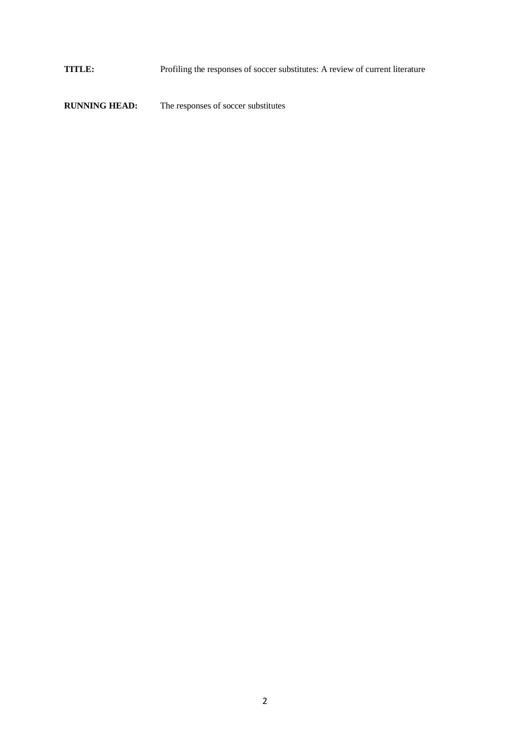**TITLE:** Profiling the responses of soccer substitutes: A review of current literature

**RUNNING HEAD:** The responses of soccer substitutes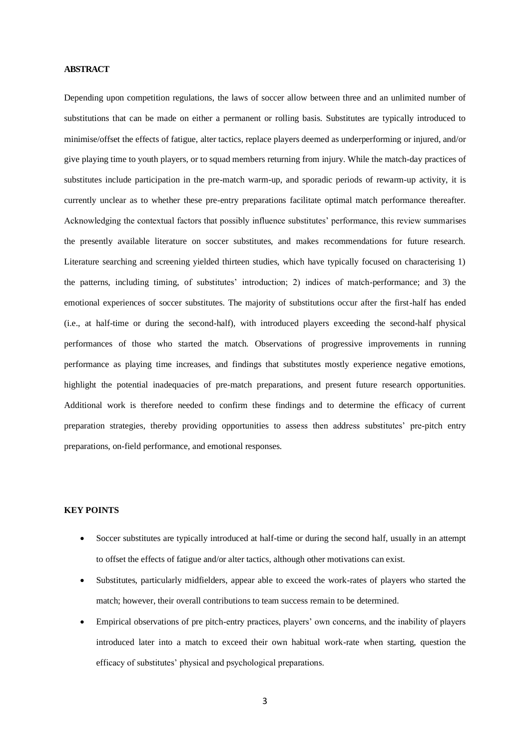## **ABSTRACT**

Depending upon competition regulations, the laws of soccer allow between three and an unlimited number of substitutions that can be made on either a permanent or rolling basis. Substitutes are typically introduced to minimise/offset the effects of fatigue, alter tactics, replace players deemed as underperforming or injured, and/or give playing time to youth players, or to squad members returning from injury. While the match-day practices of substitutes include participation in the pre-match warm-up, and sporadic periods of rewarm-up activity, it is currently unclear as to whether these pre-entry preparations facilitate optimal match performance thereafter. Acknowledging the contextual factors that possibly influence substitutes' performance, this review summarises the presently available literature on soccer substitutes, and makes recommendations for future research. Literature searching and screening yielded thirteen studies, which have typically focused on characterising 1) the patterns, including timing, of substitutes' introduction; 2) indices of match-performance; and 3) the emotional experiences of soccer substitutes. The majority of substitutions occur after the first-half has ended (i.e., at half-time or during the second-half), with introduced players exceeding the second-half physical performances of those who started the match. Observations of progressive improvements in running performance as playing time increases, and findings that substitutes mostly experience negative emotions, highlight the potential inadequacies of pre-match preparations, and present future research opportunities. Additional work is therefore needed to confirm these findings and to determine the efficacy of current preparation strategies, thereby providing opportunities to assess then address substitutes' pre-pitch entry preparations, on-field performance, and emotional responses.

## **KEY POINTS**

- Soccer substitutes are typically introduced at half-time or during the second half, usually in an attempt to offset the effects of fatigue and/or alter tactics, although other motivations can exist.
- Substitutes, particularly midfielders, appear able to exceed the work-rates of players who started the match; however, their overall contributions to team success remain to be determined.
- Empirical observations of pre pitch-entry practices, players' own concerns, and the inability of players introduced later into a match to exceed their own habitual work-rate when starting, question the efficacy of substitutes' physical and psychological preparations.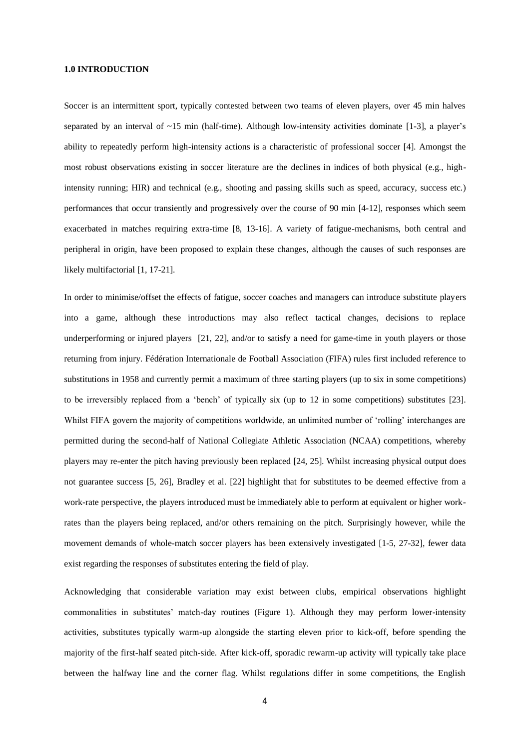#### **1.0 INTRODUCTION**

Soccer is an intermittent sport, typically contested between two teams of eleven players, over 45 min halves separated by an interval of ~15 min (half-time). Although low-intensity activities dominate [1-3], a player's ability to repeatedly perform high-intensity actions is a characteristic of professional soccer [4]. Amongst the most robust observations existing in soccer literature are the declines in indices of both physical (e.g., highintensity running; HIR) and technical (e.g., shooting and passing skills such as speed, accuracy, success etc.) performances that occur transiently and progressively over the course of 90 min [4-12], responses which seem exacerbated in matches requiring extra-time [8, 13-16]. A variety of fatigue-mechanisms, both central and peripheral in origin, have been proposed to explain these changes, although the causes of such responses are likely multifactorial [1, 17-21].

In order to minimise/offset the effects of fatigue, soccer coaches and managers can introduce substitute players into a game, although these introductions may also reflect tactical changes, decisions to replace underperforming or injured players [21, 22], and/or to satisfy a need for game-time in youth players or those returning from injury. Fédération Internationale de Football Association (FIFA) rules first included reference to substitutions in 1958 and currently permit a maximum of three starting players (up to six in some competitions) to be irreversibly replaced from a 'bench' of typically six (up to 12 in some competitions) substitutes [23]. Whilst FIFA govern the majority of competitions worldwide, an unlimited number of 'rolling' interchanges are permitted during the second-half of National Collegiate Athletic Association (NCAA) competitions, whereby players may re-enter the pitch having previously been replaced [24, 25]. Whilst increasing physical output does not guarantee success [5, 26], Bradley et al. [22] highlight that for substitutes to be deemed effective from a work-rate perspective, the players introduced must be immediately able to perform at equivalent or higher workrates than the players being replaced, and/or others remaining on the pitch. Surprisingly however, while the movement demands of whole-match soccer players has been extensively investigated [1-5, 27-32], fewer data exist regarding the responses of substitutes entering the field of play.

Acknowledging that considerable variation may exist between clubs, empirical observations highlight commonalities in substitutes' match-day routines (Figure 1). Although they may perform lower-intensity activities, substitutes typically warm-up alongside the starting eleven prior to kick-off, before spending the majority of the first-half seated pitch-side. After kick-off, sporadic rewarm-up activity will typically take place between the halfway line and the corner flag. Whilst regulations differ in some competitions, the English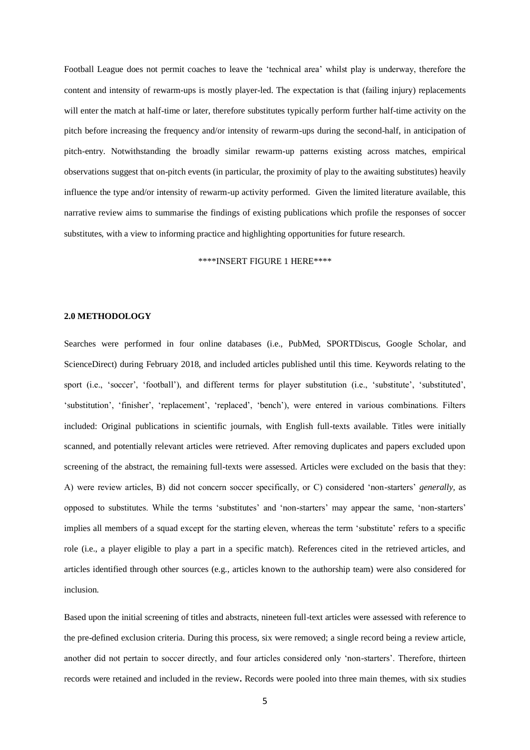Football League does not permit coaches to leave the 'technical area' whilst play is underway, therefore the content and intensity of rewarm-ups is mostly player-led. The expectation is that (failing injury) replacements will enter the match at half-time or later, therefore substitutes typically perform further half-time activity on the pitch before increasing the frequency and/or intensity of rewarm-ups during the second-half, in anticipation of pitch-entry. Notwithstanding the broadly similar rewarm-up patterns existing across matches, empirical observations suggest that on-pitch events (in particular, the proximity of play to the awaiting substitutes) heavily influence the type and/or intensity of rewarm-up activity performed. Given the limited literature available, this narrative review aims to summarise the findings of existing publications which profile the responses of soccer substitutes, with a view to informing practice and highlighting opportunities for future research.

# \*\*\*\*INSERT FIGURE 1 HERE\*\*\*\*

## **2.0 METHODOLOGY**

Searches were performed in four online databases (i.e., PubMed, SPORTDiscus, Google Scholar, and ScienceDirect) during February 2018, and included articles published until this time. Keywords relating to the sport (i.e., 'soccer', 'football'), and different terms for player substitution (i.e., 'substitute', 'substituted', 'substitution', 'finisher', 'replacement', 'replaced', 'bench'), were entered in various combinations. Filters included: Original publications in scientific journals, with English full-texts available. Titles were initially scanned, and potentially relevant articles were retrieved. After removing duplicates and papers excluded upon screening of the abstract, the remaining full-texts were assessed. Articles were excluded on the basis that they: A) were review articles, B) did not concern soccer specifically, or C) considered 'non-starters' *generally,* as opposed to substitutes. While the terms 'substitutes' and 'non-starters' may appear the same, 'non-starters' implies all members of a squad except for the starting eleven, whereas the term 'substitute' refers to a specific role (i.e., a player eligible to play a part in a specific match). References cited in the retrieved articles, and articles identified through other sources (e.g., articles known to the authorship team) were also considered for inclusion.

Based upon the initial screening of titles and abstracts, nineteen full-text articles were assessed with reference to the pre-defined exclusion criteria. During this process, six were removed; a single record being a review article, another did not pertain to soccer directly, and four articles considered only 'non-starters'. Therefore, thirteen records were retained and included in the review**.** Records were pooled into three main themes, with six studies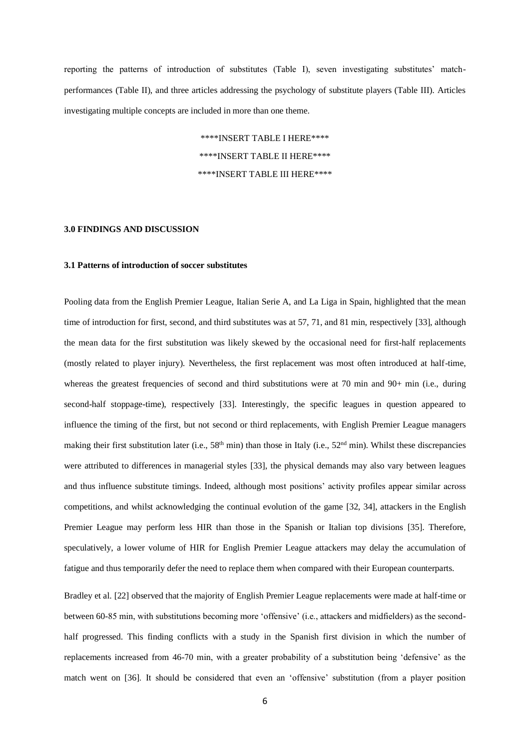reporting the patterns of introduction of substitutes (Table I), seven investigating substitutes' matchperformances (Table II), and three articles addressing the psychology of substitute players (Table III). Articles investigating multiple concepts are included in more than one theme.

> \*\*\*\*INSERT TABLE I HERE\*\*\*\* \*\*\*\*INSERT TABLE II HERE\*\*\*\* \*\*\*\*INSERT TABLE III HERE\*\*\*\*

## **3.0 FINDINGS AND DISCUSSION**

## **3.1 Patterns of introduction of soccer substitutes**

Pooling data from the English Premier League, Italian Serie A, and La Liga in Spain, highlighted that the mean time of introduction for first, second, and third substitutes was at 57, 71, and 81 min, respectively [33], although the mean data for the first substitution was likely skewed by the occasional need for first-half replacements (mostly related to player injury). Nevertheless, the first replacement was most often introduced at half-time, whereas the greatest frequencies of second and third substitutions were at 70 min and 90+ min (i.e., during second-half stoppage-time), respectively [33]. Interestingly, the specific leagues in question appeared to influence the timing of the first, but not second or third replacements, with English Premier League managers making their first substitution later (i.e.,  $58<sup>th</sup>$  min) than those in Italy (i.e.,  $52<sup>nd</sup>$  min). Whilst these discrepancies were attributed to differences in managerial styles [33], the physical demands may also vary between leagues and thus influence substitute timings. Indeed, although most positions' activity profiles appear similar across competitions, and whilst acknowledging the continual evolution of the game [32, 34], attackers in the English Premier League may perform less HIR than those in the Spanish or Italian top divisions [35]. Therefore, speculatively, a lower volume of HIR for English Premier League attackers may delay the accumulation of fatigue and thus temporarily defer the need to replace them when compared with their European counterparts.

Bradley et al. [22] observed that the majority of English Premier League replacements were made at half-time or between 60-85 min, with substitutions becoming more 'offensive' (i.e., attackers and midfielders) as the secondhalf progressed. This finding conflicts with a study in the Spanish first division in which the number of replacements increased from 46-70 min, with a greater probability of a substitution being 'defensive' as the match went on [36]. It should be considered that even an 'offensive' substitution (from a player position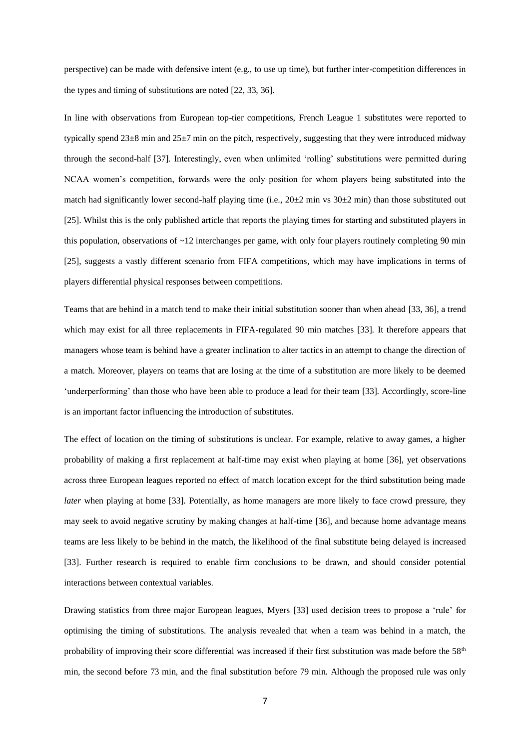perspective) can be made with defensive intent (e.g., to use up time), but further inter-competition differences in the types and timing of substitutions are noted [22, 33, 36].

In line with observations from European top-tier competitions, French League 1 substitutes were reported to typically spend  $23\pm8$  min and  $25\pm7$  min on the pitch, respectively, suggesting that they were introduced midway through the second-half [37]. Interestingly, even when unlimited 'rolling' substitutions were permitted during NCAA women's competition, forwards were the only position for whom players being substituted into the match had significantly lower second-half playing time (i.e.,  $20\pm2$  min vs  $30\pm2$  min) than those substituted out [25]. Whilst this is the only published article that reports the playing times for starting and substituted players in this population, observations of ~12 interchanges per game, with only four players routinely completing 90 min [25], suggests a vastly different scenario from FIFA competitions, which may have implications in terms of players differential physical responses between competitions.

Teams that are behind in a match tend to make their initial substitution sooner than when ahead [33, 36], a trend which may exist for all three replacements in FIFA-regulated 90 min matches [33]. It therefore appears that managers whose team is behind have a greater inclination to alter tactics in an attempt to change the direction of a match. Moreover, players on teams that are losing at the time of a substitution are more likely to be deemed 'underperforming' than those who have been able to produce a lead for their team [33]. Accordingly, score-line is an important factor influencing the introduction of substitutes.

The effect of location on the timing of substitutions is unclear. For example, relative to away games, a higher probability of making a first replacement at half-time may exist when playing at home [36], yet observations across three European leagues reported no effect of match location except for the third substitution being made *later* when playing at home [33]. Potentially, as home managers are more likely to face crowd pressure, they may seek to avoid negative scrutiny by making changes at half-time [36], and because home advantage means teams are less likely to be behind in the match, the likelihood of the final substitute being delayed is increased [33]. Further research is required to enable firm conclusions to be drawn, and should consider potential interactions between contextual variables.

Drawing statistics from three major European leagues, Myers [33] used decision trees to propose a 'rule' for optimising the timing of substitutions. The analysis revealed that when a team was behind in a match, the probability of improving their score differential was increased if their first substitution was made before the  $58<sup>th</sup>$ min, the second before 73 min, and the final substitution before 79 min. Although the proposed rule was only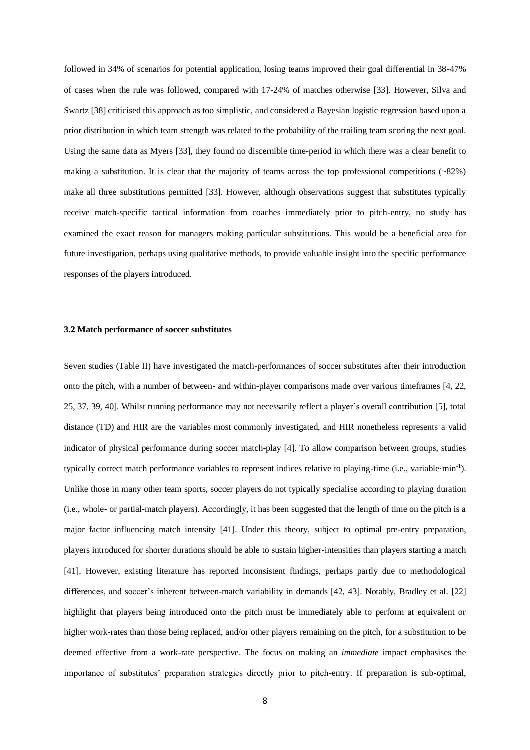followed in 34% of scenarios for potential application, losing teams improved their goal differential in 38-47% of cases when the rule was followed, compared with 17-24% of matches otherwise [33]. However, Silva and Swartz [38] criticised this approach as too simplistic, and considered a Bayesian logistic regression based upon a prior distribution in which team strength was related to the probability of the trailing team scoring the next goal. Using the same data as Myers [33], they found no discernible time-period in which there was a clear benefit to making a substitution. It is clear that the majority of teams across the top professional competitions  $(-82\%)$ make all three substitutions permitted [33]. However, although observations suggest that substitutes typically receive match-specific tactical information from coaches immediately prior to pitch-entry, no study has examined the exact reason for managers making particular substitutions. This would be a beneficial area for future investigation, perhaps using qualitative methods, to provide valuable insight into the specific performance responses of the players introduced.

### **3.2 Match performance of soccer substitutes**

Seven studies (Table II) have investigated the match-performances of soccer substitutes after their introduction onto the pitch, with a number of between- and within-player comparisons made over various timeframes [4, 22, 25, 37, 39, 40]. Whilst running performance may not necessarily reflect a player's overall contribution [5], total distance (TD) and HIR are the variables most commonly investigated, and HIR nonetheless represents a valid indicator of physical performance during soccer match-play [4]. To allow comparison between groups, studies typically correct match performance variables to represent indices relative to playing-time (i.e., variable·min-1 ). Unlike those in many other team sports, soccer players do not typically specialise according to playing duration (i.e., whole- or partial-match players). Accordingly, it has been suggested that the length of time on the pitch is a major factor influencing match intensity [41]. Under this theory, subject to optimal pre-entry preparation, players introduced for shorter durations should be able to sustain higher-intensities than players starting a match [41]. However, existing literature has reported inconsistent findings, perhaps partly due to methodological differences, and soccer's inherent between-match variability in demands [42, 43]. Notably, Bradley et al. [22] highlight that players being introduced onto the pitch must be immediately able to perform at equivalent or higher work-rates than those being replaced, and/or other players remaining on the pitch, for a substitution to be deemed effective from a work-rate perspective. The focus on making an *immediate* impact emphasises the importance of substitutes' preparation strategies directly prior to pitch-entry. If preparation is sub-optimal,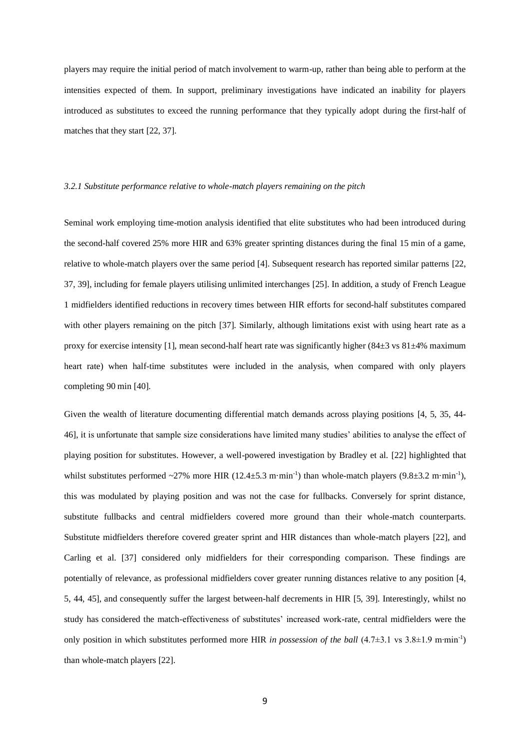players may require the initial period of match involvement to warm-up, rather than being able to perform at the intensities expected of them. In support, preliminary investigations have indicated an inability for players introduced as substitutes to exceed the running performance that they typically adopt during the first-half of matches that they start [22, 37].

#### *3.2.1 Substitute performance relative to whole-match players remaining on the pitch*

Seminal work employing time-motion analysis identified that elite substitutes who had been introduced during the second-half covered 25% more HIR and 63% greater sprinting distances during the final 15 min of a game, relative to whole-match players over the same period [4]. Subsequent research has reported similar patterns [22, 37, 39], including for female players utilising unlimited interchanges [25]. In addition, a study of French League 1 midfielders identified reductions in recovery times between HIR efforts for second-half substitutes compared with other players remaining on the pitch [37]. Similarly, although limitations exist with using heart rate as a proxy for exercise intensity [1], mean second-half heart rate was significantly higher (84±3 vs 81±4% maximum heart rate) when half-time substitutes were included in the analysis, when compared with only players completing 90 min [40].

Given the wealth of literature documenting differential match demands across playing positions [4, 5, 35, 44-46], it is unfortunate that sample size considerations have limited many studies' abilities to analyse the effect of playing position for substitutes. However, a well-powered investigation by Bradley et al. [22] highlighted that whilst substitutes performed ~27% more HIR (12.4 $\pm$ 5.3 m·min<sup>-1</sup>) than whole-match players (9.8 $\pm$ 3.2 m·min<sup>-1</sup>), this was modulated by playing position and was not the case for fullbacks. Conversely for sprint distance, substitute fullbacks and central midfielders covered more ground than their whole-match counterparts. Substitute midfielders therefore covered greater sprint and HIR distances than whole-match players [22], and Carling et al. [37] considered only midfielders for their corresponding comparison. These findings are potentially of relevance, as professional midfielders cover greater running distances relative to any position [4, 5, 44, 45], and consequently suffer the largest between-half decrements in HIR [5, 39]. Interestingly, whilst no study has considered the match-effectiveness of substitutes' increased work-rate, central midfielders were the only position in which substitutes performed more HIR *in possession of the ball* (4.7±3.1 vs 3.8±1.9 m∙min-1 ) than whole-match players [22].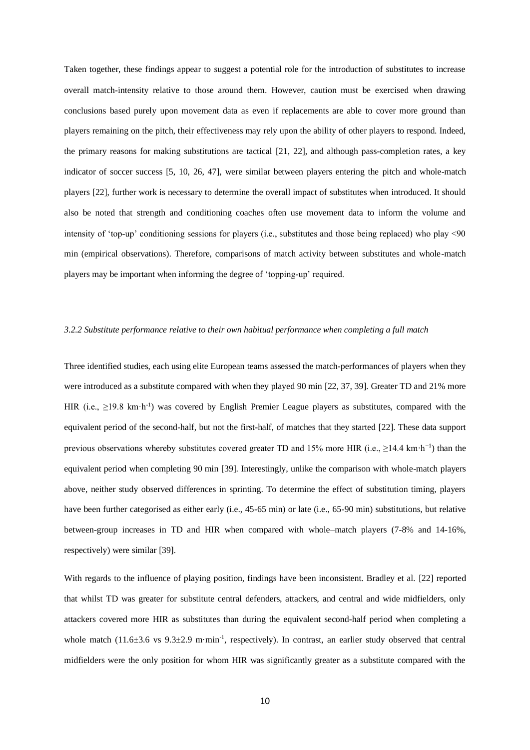Taken together, these findings appear to suggest a potential role for the introduction of substitutes to increase overall match-intensity relative to those around them. However, caution must be exercised when drawing conclusions based purely upon movement data as even if replacements are able to cover more ground than players remaining on the pitch, their effectiveness may rely upon the ability of other players to respond. Indeed, the primary reasons for making substitutions are tactical [21, 22], and although pass-completion rates, a key indicator of soccer success [5, 10, 26, 47], were similar between players entering the pitch and whole-match players [22], further work is necessary to determine the overall impact of substitutes when introduced. It should also be noted that strength and conditioning coaches often use movement data to inform the volume and intensity of 'top-up' conditioning sessions for players (i.e., substitutes and those being replaced) who play <90 min (empirical observations). Therefore, comparisons of match activity between substitutes and whole-match players may be important when informing the degree of 'topping-up' required.

### *3.2.2 Substitute performance relative to their own habitual performance when completing a full match*

Three identified studies, each using elite European teams assessed the match-performances of players when they were introduced as a substitute compared with when they played 90 min [22, 37, 39]. Greater TD and 21% more HIR (i.e.,  $\geq$ 19.8 km·h<sup>-1</sup>) was covered by English Premier League players as substitutes, compared with the equivalent period of the second-half, but not the first-half, of matches that they started [22]. These data support previous observations whereby substitutes covered greater TD and 15% more HIR (i.e.,  $\geq$ 14.4 km·h<sup>-1</sup>) than the equivalent period when completing 90 min [39]. Interestingly, unlike the comparison with whole-match players above, neither study observed differences in sprinting. To determine the effect of substitution timing, players have been further categorised as either early (i.e., 45-65 min) or late (i.e., 65-90 min) substitutions, but relative between-group increases in TD and HIR when compared with whole–match players (7-8% and 14-16%, respectively) were similar [39].

With regards to the influence of playing position, findings have been inconsistent. Bradley et al. [22] reported that whilst TD was greater for substitute central defenders, attackers, and central and wide midfielders, only attackers covered more HIR as substitutes than during the equivalent second-half period when completing a whole match  $(11.6\pm3.6 \text{ vs } 9.3\pm2.9 \text{ m}\cdot\text{min}^{-1})$ , respectively). In contrast, an earlier study observed that central midfielders were the only position for whom HIR was significantly greater as a substitute compared with the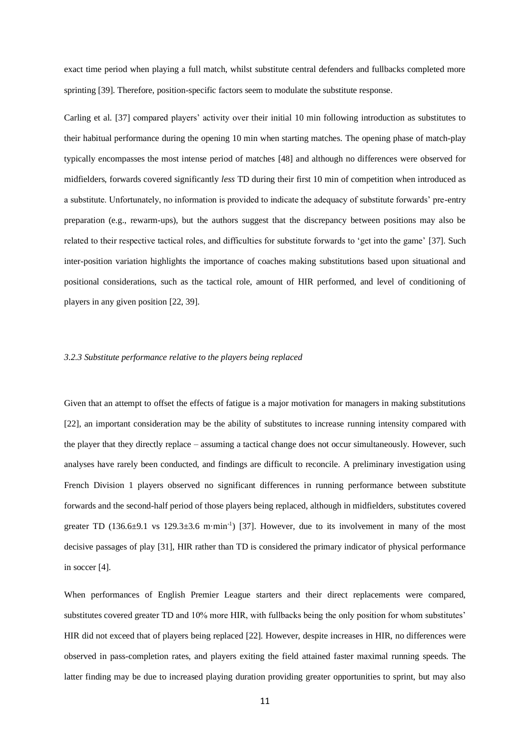exact time period when playing a full match, whilst substitute central defenders and fullbacks completed more sprinting [39]. Therefore, position-specific factors seem to modulate the substitute response.

Carling et al. [37] compared players' activity over their initial 10 min following introduction as substitutes to their habitual performance during the opening 10 min when starting matches. The opening phase of match-play typically encompasses the most intense period of matches [48] and although no differences were observed for midfielders, forwards covered significantly *less* TD during their first 10 min of competition when introduced as a substitute. Unfortunately, no information is provided to indicate the adequacy of substitute forwards' pre-entry preparation (e.g., rewarm-ups), but the authors suggest that the discrepancy between positions may also be related to their respective tactical roles, and difficulties for substitute forwards to 'get into the game' [37]. Such inter-position variation highlights the importance of coaches making substitutions based upon situational and positional considerations, such as the tactical role, amount of HIR performed, and level of conditioning of players in any given position [22, 39].

#### *3.2.3 Substitute performance relative to the players being replaced*

Given that an attempt to offset the effects of fatigue is a major motivation for managers in making substitutions [22], an important consideration may be the ability of substitutes to increase running intensity compared with the player that they directly replace – assuming a tactical change does not occur simultaneously. However, such analyses have rarely been conducted, and findings are difficult to reconcile. A preliminary investigation using French Division 1 players observed no significant differences in running performance between substitute forwards and the second-half period of those players being replaced, although in midfielders, substitutes covered greater TD  $(136.6\pm9.1 \text{ vs } 129.3\pm3.6 \text{ m}\cdot\text{min}^{-1})$  [37]. However, due to its involvement in many of the most decisive passages of play [31], HIR rather than TD is considered the primary indicator of physical performance in soccer [4].

When performances of English Premier League starters and their direct replacements were compared, substitutes covered greater TD and 10% more HIR, with fullbacks being the only position for whom substitutes' HIR did not exceed that of players being replaced [22]. However, despite increases in HIR, no differences were observed in pass-completion rates, and players exiting the field attained faster maximal running speeds. The latter finding may be due to increased playing duration providing greater opportunities to sprint, but may also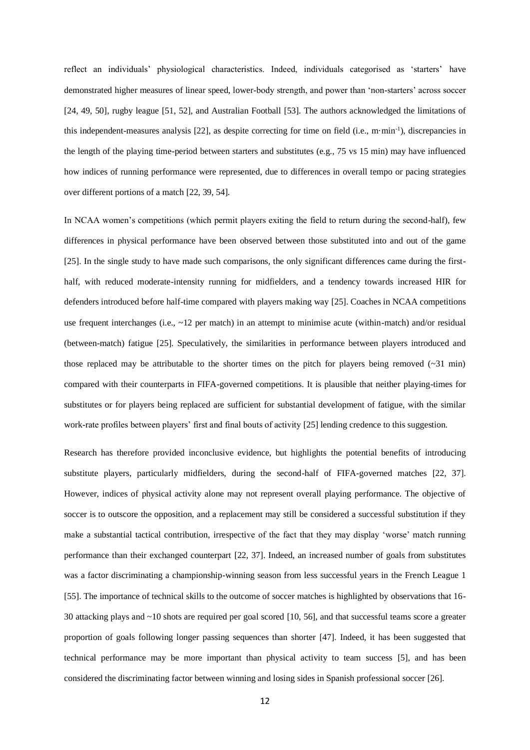reflect an individuals' physiological characteristics. Indeed, individuals categorised as 'starters' have demonstrated higher measures of linear speed, lower-body strength, and power than 'non-starters' across soccer [24, 49, 50], rugby league [51, 52], and Australian Football [53]. The authors acknowledged the limitations of this independent-measures analysis [22], as despite correcting for time on field (i.e., m·min-1 ), discrepancies in the length of the playing time-period between starters and substitutes (e.g., 75 vs 15 min) may have influenced how indices of running performance were represented, due to differences in overall tempo or pacing strategies over different portions of a match [22, 39, 54].

In NCAA women's competitions (which permit players exiting the field to return during the second-half), few differences in physical performance have been observed between those substituted into and out of the game [25]. In the single study to have made such comparisons, the only significant differences came during the firsthalf, with reduced moderate-intensity running for midfielders, and a tendency towards increased HIR for defenders introduced before half-time compared with players making way [25]. Coaches in NCAA competitions use frequent interchanges (i.e., ~12 per match) in an attempt to minimise acute (within-match) and/or residual (between-match) fatigue [25]. Speculatively, the similarities in performance between players introduced and those replaced may be attributable to the shorter times on the pitch for players being removed  $(\sim 31 \text{ min})$ compared with their counterparts in FIFA-governed competitions. It is plausible that neither playing-times for substitutes or for players being replaced are sufficient for substantial development of fatigue, with the similar work-rate profiles between players' first and final bouts of activity [25] lending credence to this suggestion.

Research has therefore provided inconclusive evidence, but highlights the potential benefits of introducing substitute players, particularly midfielders, during the second-half of FIFA-governed matches [22, 37]. However, indices of physical activity alone may not represent overall playing performance. The objective of soccer is to outscore the opposition, and a replacement may still be considered a successful substitution if they make a substantial tactical contribution, irrespective of the fact that they may display 'worse' match running performance than their exchanged counterpart [22, 37]. Indeed, an increased number of goals from substitutes was a factor discriminating a championship-winning season from less successful years in the French League 1 [55]. The importance of technical skills to the outcome of soccer matches is highlighted by observations that 16- 30 attacking plays and ~10 shots are required per goal scored [10, 56], and that successful teams score a greater proportion of goals following longer passing sequences than shorter [47]. Indeed, it has been suggested that technical performance may be more important than physical activity to team success [5], and has been considered the discriminating factor between winning and losing sides in Spanish professional soccer [26].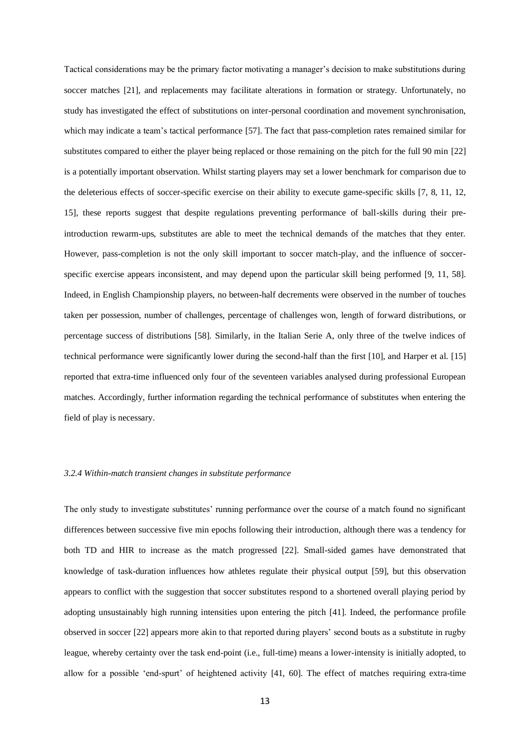Tactical considerations may be the primary factor motivating a manager's decision to make substitutions during soccer matches [21], and replacements may facilitate alterations in formation or strategy. Unfortunately, no study has investigated the effect of substitutions on inter-personal coordination and movement synchronisation, which may indicate a team's tactical performance [57]. The fact that pass-completion rates remained similar for substitutes compared to either the player being replaced or those remaining on the pitch for the full 90 min [22] is a potentially important observation. Whilst starting players may set a lower benchmark for comparison due to the deleterious effects of soccer-specific exercise on their ability to execute game-specific skills [7, 8, 11, 12, 15], these reports suggest that despite regulations preventing performance of ball-skills during their preintroduction rewarm-ups, substitutes are able to meet the technical demands of the matches that they enter. However, pass-completion is not the only skill important to soccer match-play, and the influence of soccerspecific exercise appears inconsistent, and may depend upon the particular skill being performed [9, 11, 58]. Indeed, in English Championship players, no between-half decrements were observed in the number of touches taken per possession, number of challenges, percentage of challenges won, length of forward distributions, or percentage success of distributions [58]. Similarly, in the Italian Serie A, only three of the twelve indices of technical performance were significantly lower during the second-half than the first [10], and Harper et al. [15] reported that extra-time influenced only four of the seventeen variables analysed during professional European matches. Accordingly, further information regarding the technical performance of substitutes when entering the field of play is necessary.

# *3.2.4 Within-match transient changes in substitute performance*

The only study to investigate substitutes' running performance over the course of a match found no significant differences between successive five min epochs following their introduction, although there was a tendency for both TD and HIR to increase as the match progressed [22]. Small-sided games have demonstrated that knowledge of task-duration influences how athletes regulate their physical output [59], but this observation appears to conflict with the suggestion that soccer substitutes respond to a shortened overall playing period by adopting unsustainably high running intensities upon entering the pitch [41]. Indeed, the performance profile observed in soccer [22] appears more akin to that reported during players' second bouts as a substitute in rugby league, whereby certainty over the task end-point (i.e., full-time) means a lower-intensity is initially adopted, to allow for a possible 'end-spurt' of heightened activity [41, 60]. The effect of matches requiring extra-time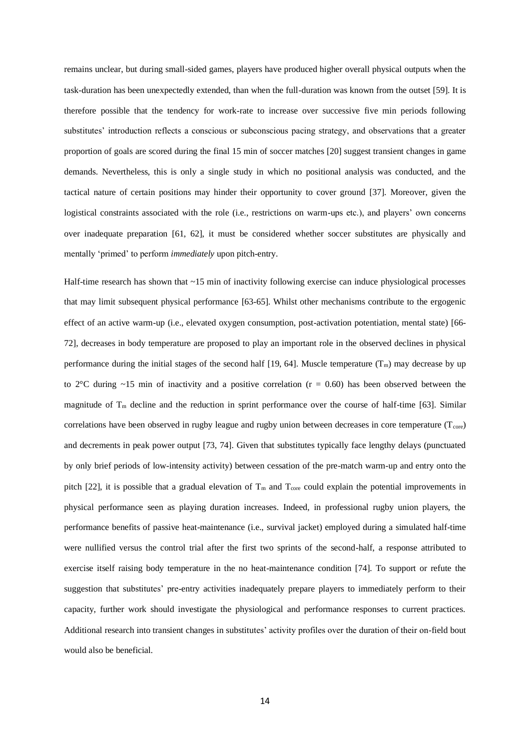remains unclear, but during small-sided games, players have produced higher overall physical outputs when the task-duration has been unexpectedly extended, than when the full-duration was known from the outset [59]. It is therefore possible that the tendency for work-rate to increase over successive five min periods following substitutes' introduction reflects a conscious or subconscious pacing strategy, and observations that a greater proportion of goals are scored during the final 15 min of soccer matches [20] suggest transient changes in game demands. Nevertheless, this is only a single study in which no positional analysis was conducted, and the tactical nature of certain positions may hinder their opportunity to cover ground [37]. Moreover, given the logistical constraints associated with the role (i.e., restrictions on warm-ups etc.), and players' own concerns over inadequate preparation [61, 62], it must be considered whether soccer substitutes are physically and mentally 'primed' to perform *immediately* upon pitch-entry.

Half-time research has shown that ~15 min of inactivity following exercise can induce physiological processes that may limit subsequent physical performance [63-65]. Whilst other mechanisms contribute to the ergogenic effect of an active warm-up (i.e., elevated oxygen consumption, post-activation potentiation, mental state) [66- 72], decreases in body temperature are proposed to play an important role in the observed declines in physical performance during the initial stages of the second half [19, 64]. Muscle temperature  $(T_m)$  may decrease by up to 2 $\degree$ C during ~15 min of inactivity and a positive correlation (r = 0.60) has been observed between the magnitude of  $T_m$  decline and the reduction in sprint performance over the course of half-time [63]. Similar correlations have been observed in rugby league and rugby union between decreases in core temperature  $(T_{core})$ and decrements in peak power output [73, 74]. Given that substitutes typically face lengthy delays (punctuated by only brief periods of low-intensity activity) between cessation of the pre-match warm-up and entry onto the pitch [22], it is possible that a gradual elevation of  $T_m$  and  $T_{core}$  could explain the potential improvements in physical performance seen as playing duration increases. Indeed, in professional rugby union players, the performance benefits of passive heat-maintenance (i.e., survival jacket) employed during a simulated half-time were nullified versus the control trial after the first two sprints of the second-half, a response attributed to exercise itself raising body temperature in the no heat-maintenance condition [74]. To support or refute the suggestion that substitutes' pre-entry activities inadequately prepare players to immediately perform to their capacity, further work should investigate the physiological and performance responses to current practices. Additional research into transient changes in substitutes' activity profiles over the duration of their on-field bout would also be beneficial.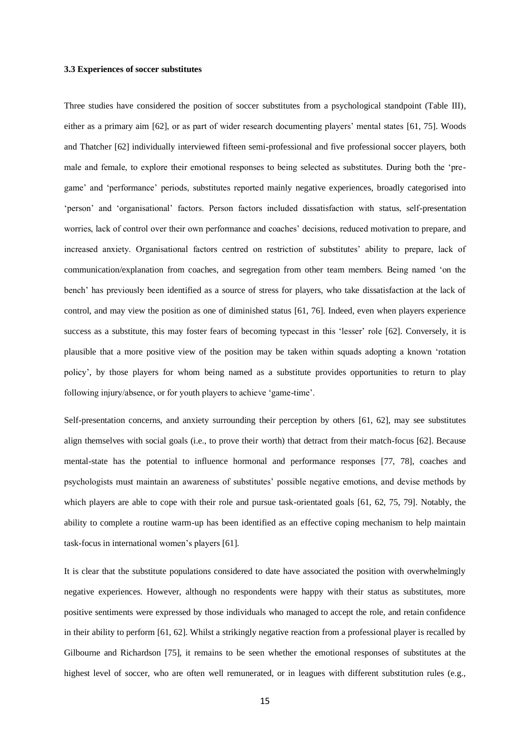#### **3.3 Experiences of soccer substitutes**

Three studies have considered the position of soccer substitutes from a psychological standpoint (Table III), either as a primary aim [62], or as part of wider research documenting players' mental states [61, 75]. Woods and Thatcher [62] individually interviewed fifteen semi-professional and five professional soccer players, both male and female, to explore their emotional responses to being selected as substitutes. During both the 'pregame' and 'performance' periods, substitutes reported mainly negative experiences, broadly categorised into 'person' and 'organisational' factors. Person factors included dissatisfaction with status, self-presentation worries, lack of control over their own performance and coaches' decisions, reduced motivation to prepare, and increased anxiety. Organisational factors centred on restriction of substitutes' ability to prepare, lack of communication/explanation from coaches, and segregation from other team members. Being named 'on the bench' has previously been identified as a source of stress for players, who take dissatisfaction at the lack of control, and may view the position as one of diminished status [61, 76]. Indeed, even when players experience success as a substitute, this may foster fears of becoming typecast in this 'lesser' role [62]. Conversely, it is plausible that a more positive view of the position may be taken within squads adopting a known 'rotation policy', by those players for whom being named as a substitute provides opportunities to return to play following injury/absence, or for youth players to achieve 'game-time'.

Self-presentation concerns, and anxiety surrounding their perception by others [61, 62], may see substitutes align themselves with social goals (i.e., to prove their worth) that detract from their match-focus [62]. Because mental-state has the potential to influence hormonal and performance responses [77, 78], coaches and psychologists must maintain an awareness of substitutes' possible negative emotions, and devise methods by which players are able to cope with their role and pursue task-orientated goals [61, 62, 75, 79]. Notably, the ability to complete a routine warm-up has been identified as an effective coping mechanism to help maintain task-focus in international women's players [61].

It is clear that the substitute populations considered to date have associated the position with overwhelmingly negative experiences. However, although no respondents were happy with their status as substitutes, more positive sentiments were expressed by those individuals who managed to accept the role, and retain confidence in their ability to perform [61, 62]. Whilst a strikingly negative reaction from a professional player is recalled by Gilbourne and Richardson [75], it remains to be seen whether the emotional responses of substitutes at the highest level of soccer, who are often well remunerated, or in leagues with different substitution rules (e.g.,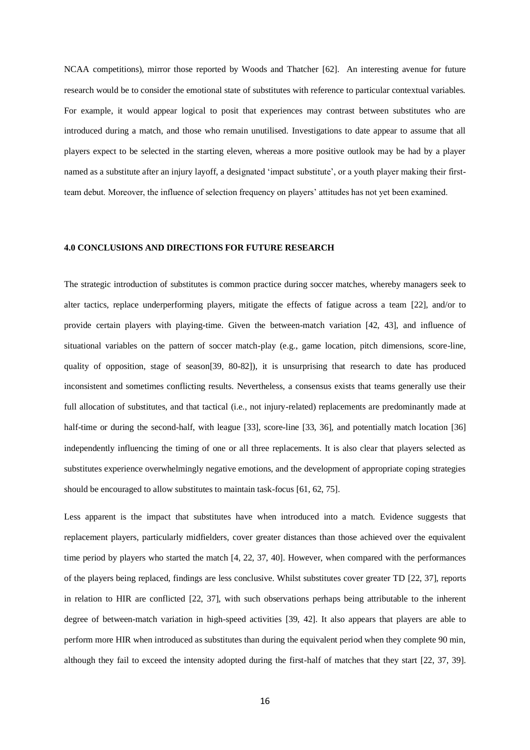NCAA competitions), mirror those reported by Woods and Thatcher [62]. An interesting avenue for future research would be to consider the emotional state of substitutes with reference to particular contextual variables. For example, it would appear logical to posit that experiences may contrast between substitutes who are introduced during a match, and those who remain unutilised. Investigations to date appear to assume that all players expect to be selected in the starting eleven, whereas a more positive outlook may be had by a player named as a substitute after an injury layoff, a designated 'impact substitute', or a youth player making their firstteam debut. Moreover, the influence of selection frequency on players' attitudes has not yet been examined.

# **4.0 CONCLUSIONS AND DIRECTIONS FOR FUTURE RESEARCH**

The strategic introduction of substitutes is common practice during soccer matches, whereby managers seek to alter tactics, replace underperforming players, mitigate the effects of fatigue across a team [22], and/or to provide certain players with playing-time. Given the between-match variation [42, 43], and influence of situational variables on the pattern of soccer match-play (e.g., game location, pitch dimensions, score-line, quality of opposition, stage of season[39, 80-82]), it is unsurprising that research to date has produced inconsistent and sometimes conflicting results. Nevertheless, a consensus exists that teams generally use their full allocation of substitutes, and that tactical (i.e., not injury-related) replacements are predominantly made at half-time or during the second-half, with league [33], score-line [33, 36], and potentially match location [36] independently influencing the timing of one or all three replacements. It is also clear that players selected as substitutes experience overwhelmingly negative emotions, and the development of appropriate coping strategies should be encouraged to allow substitutes to maintain task-focus [61, 62, 75].

Less apparent is the impact that substitutes have when introduced into a match. Evidence suggests that replacement players, particularly midfielders, cover greater distances than those achieved over the equivalent time period by players who started the match [4, 22, 37, 40]. However, when compared with the performances of the players being replaced, findings are less conclusive. Whilst substitutes cover greater TD [22, 37], reports in relation to HIR are conflicted [22, 37], with such observations perhaps being attributable to the inherent degree of between-match variation in high-speed activities [39, 42]. It also appears that players are able to perform more HIR when introduced as substitutes than during the equivalent period when they complete 90 min, although they fail to exceed the intensity adopted during the first-half of matches that they start [22, 37, 39].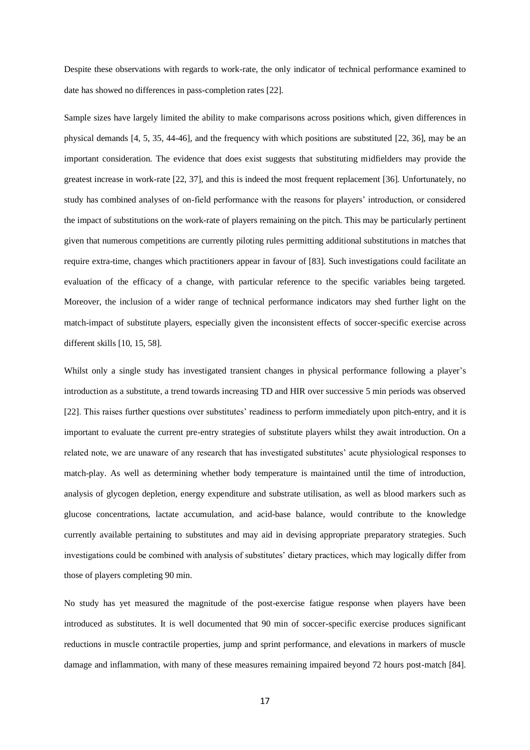Despite these observations with regards to work-rate, the only indicator of technical performance examined to date has showed no differences in pass-completion rates [22].

Sample sizes have largely limited the ability to make comparisons across positions which, given differences in physical demands [4, 5, 35, 44-46], and the frequency with which positions are substituted [22, 36], may be an important consideration. The evidence that does exist suggests that substituting midfielders may provide the greatest increase in work-rate [22, 37], and this is indeed the most frequent replacement [36]. Unfortunately, no study has combined analyses of on-field performance with the reasons for players' introduction, or considered the impact of substitutions on the work-rate of players remaining on the pitch. This may be particularly pertinent given that numerous competitions are currently piloting rules permitting additional substitutions in matches that require extra-time, changes which practitioners appear in favour of [83]. Such investigations could facilitate an evaluation of the efficacy of a change, with particular reference to the specific variables being targeted. Moreover, the inclusion of a wider range of technical performance indicators may shed further light on the match-impact of substitute players, especially given the inconsistent effects of soccer-specific exercise across different skills [10, 15, 58].

Whilst only a single study has investigated transient changes in physical performance following a player's introduction as a substitute, a trend towards increasing TD and HIR over successive 5 min periods was observed [22]. This raises further questions over substitutes' readiness to perform immediately upon pitch-entry, and it is important to evaluate the current pre-entry strategies of substitute players whilst they await introduction. On a related note, we are unaware of any research that has investigated substitutes' acute physiological responses to match-play. As well as determining whether body temperature is maintained until the time of introduction, analysis of glycogen depletion, energy expenditure and substrate utilisation, as well as blood markers such as glucose concentrations, lactate accumulation, and acid-base balance, would contribute to the knowledge currently available pertaining to substitutes and may aid in devising appropriate preparatory strategies. Such investigations could be combined with analysis of substitutes' dietary practices, which may logically differ from those of players completing 90 min.

No study has yet measured the magnitude of the post-exercise fatigue response when players have been introduced as substitutes. It is well documented that 90 min of soccer-specific exercise produces significant reductions in muscle contractile properties, jump and sprint performance, and elevations in markers of muscle damage and inflammation, with many of these measures remaining impaired beyond 72 hours post-match [84].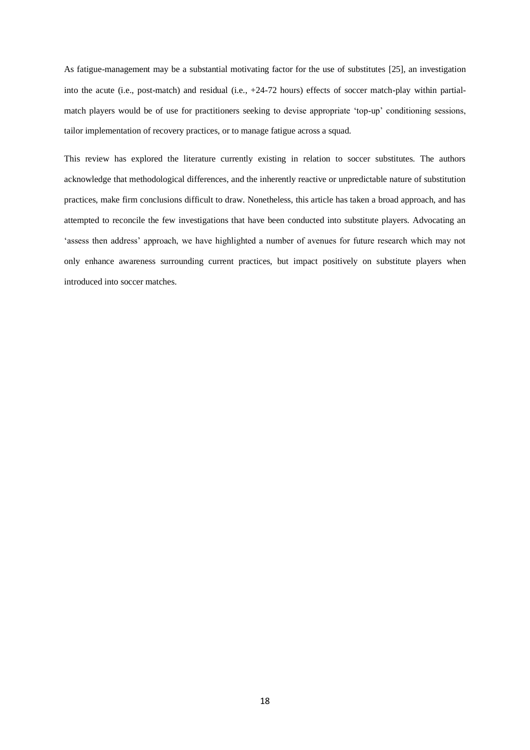As fatigue-management may be a substantial motivating factor for the use of substitutes [25], an investigation into the acute (i.e., post-match) and residual (i.e., +24-72 hours) effects of soccer match-play within partialmatch players would be of use for practitioners seeking to devise appropriate 'top-up' conditioning sessions, tailor implementation of recovery practices, or to manage fatigue across a squad.

This review has explored the literature currently existing in relation to soccer substitutes. The authors acknowledge that methodological differences, and the inherently reactive or unpredictable nature of substitution practices, make firm conclusions difficult to draw. Nonetheless, this article has taken a broad approach, and has attempted to reconcile the few investigations that have been conducted into substitute players. Advocating an 'assess then address' approach, we have highlighted a number of avenues for future research which may not only enhance awareness surrounding current practices, but impact positively on substitute players when introduced into soccer matches.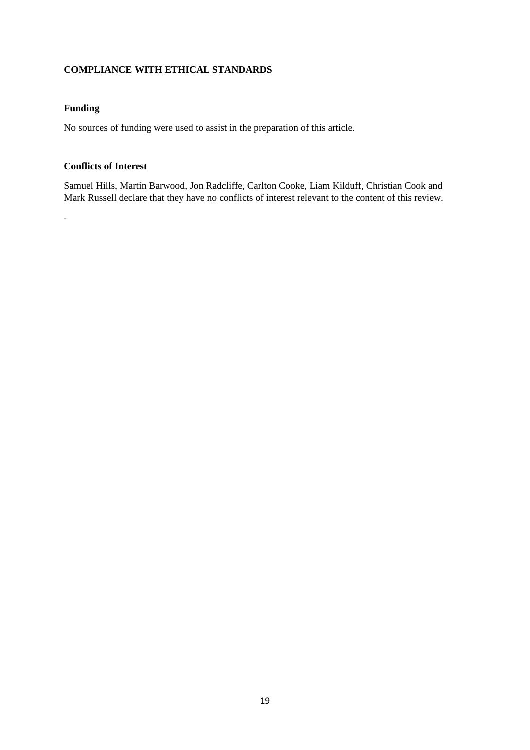# **COMPLIANCE WITH ETHICAL STANDARDS**

# **Funding**

.

No sources of funding were used to assist in the preparation of this article.

# **Conflicts of Interest**

Samuel Hills, Martin Barwood, Jon Radcliffe, Carlton Cooke, Liam Kilduff, Christian Cook and Mark Russell declare that they have no conflicts of interest relevant to the content of this review.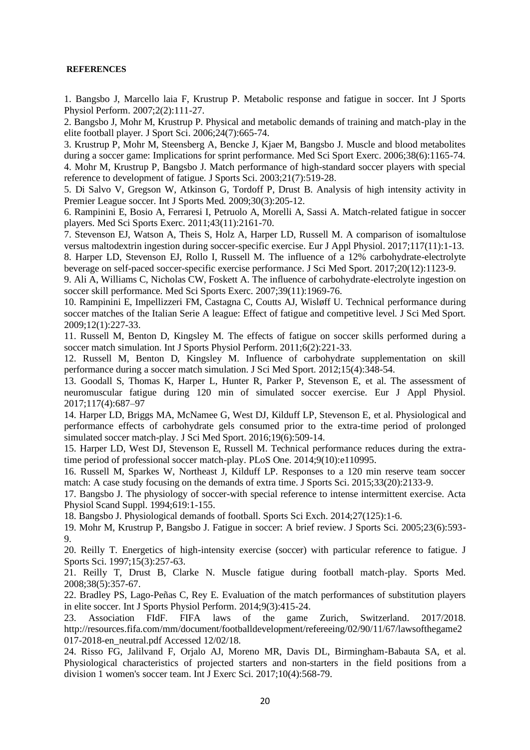# **REFERENCES**

1. Bangsbo J, Marcello laia F, Krustrup P. Metabolic response and fatigue in soccer. Int J Sports Physiol Perform. 2007;2(2):111-27.

2. Bangsbo J, Mohr M, Krustrup P. Physical and metabolic demands of training and match-play in the elite football player. J Sport Sci. 2006;24(7):665-74.

3. Krustrup P, Mohr M, Steensberg A, Bencke J, Kjaer M, Bangsbo J. Muscle and blood metabolites during a soccer game: Implications for sprint performance. Med Sci Sport Exerc. 2006;38(6):1165-74. 4. Mohr M, Krustrup P, Bangsbo J. Match performance of high-standard soccer players with special reference to development of fatigue. J Sports Sci. 2003;21(7):519-28.

5. Di Salvo V, Gregson W, Atkinson G, Tordoff P, Drust B. Analysis of high intensity activity in Premier League soccer. Int J Sports Med. 2009;30(3):205-12.

6. Rampinini E, Bosio A, Ferraresi I, Petruolo A, Morelli A, Sassi A. Match-related fatigue in soccer players. Med Sci Sports Exerc. 2011;43(11):2161-70.

7. Stevenson EJ, Watson A, Theis S, Holz A, Harper LD, Russell M. A comparison of isomaltulose versus maltodextrin ingestion during soccer-specific exercise. Eur J Appl Physiol. 2017;117(11):1-13.

8. Harper LD, Stevenson EJ, Rollo I, Russell M. The influence of a 12% carbohydrate-electrolyte beverage on self-paced soccer-specific exercise performance. J Sci Med Sport. 2017;20(12):1123-9.

9. Ali A, Williams C, Nicholas CW, Foskett A. The influence of carbohydrate-electrolyte ingestion on soccer skill performance. Med Sci Sports Exerc. 2007;39(11):1969-76.

10. Rampinini E, Impellizzeri FM, Castagna C, Coutts AJ, Wisløff U. Technical performance during soccer matches of the Italian Serie A league: Effect of fatigue and competitive level. J Sci Med Sport. 2009;12(1):227-33.

11. Russell M, Benton D, Kingsley M. The effects of fatigue on soccer skills performed during a soccer match simulation. Int J Sports Physiol Perform. 2011;6(2):221-33.

12. Russell M, Benton D, Kingsley M. Influence of carbohydrate supplementation on skill performance during a soccer match simulation. J Sci Med Sport. 2012;15(4):348-54.

13. Goodall S, Thomas K, Harper L, Hunter R, Parker P, Stevenson E, et al. The assessment of neuromuscular fatigue during 120 min of simulated soccer exercise. Eur J Appl Physiol. 2017;117(4):687–97

14. Harper LD, Briggs MA, McNamee G, West DJ, Kilduff LP, Stevenson E, et al. Physiological and performance effects of carbohydrate gels consumed prior to the extra-time period of prolonged simulated soccer match-play. J Sci Med Sport. 2016;19(6):509-14.

15. Harper LD, West DJ, Stevenson E, Russell M. Technical performance reduces during the extratime period of professional soccer match-play. PLoS One. 2014;9(10):e110995.

16. Russell M, Sparkes W, Northeast J, Kilduff LP. Responses to a 120 min reserve team soccer match: A case study focusing on the demands of extra time. J Sports Sci. 2015;33(20):2133-9.

17. Bangsbo J. The physiology of soccer-with special reference to intense intermittent exercise. Acta Physiol Scand Suppl. 1994;619:1-155.

18. Bangsbo J. Physiological demands of football. Sports Sci Exch. 2014;27(125):1-6.

19. Mohr M, Krustrup P, Bangsbo J. Fatigue in soccer: A brief review. J Sports Sci. 2005;23(6):593- 9.

20. Reilly T. Energetics of high-intensity exercise (soccer) with particular reference to fatigue. J Sports Sci. 1997;15(3):257-63.

21. Reilly T, Drust B, Clarke N. Muscle fatigue during football match-play. Sports Med. 2008;38(5):357-67.

22. Bradley PS, Lago-Peñas C, Rey E. Evaluation of the match performances of substitution players in elite soccer. Int J Sports Physiol Perform. 2014;9(3):415-24.

23. Association FIdF. FIFA laws of the game Zurich, Switzerland. 2017/2018. http://resources.fifa.com/mm/document/footballdevelopment/refereeing/02/90/11/67/lawsofthegame2 017-2018-en\_neutral.pdf Accessed 12/02/18.

24. Risso FG, Jalilvand F, Orjalo AJ, Moreno MR, Davis DL, Birmingham-Babauta SA, et al. Physiological characteristics of projected starters and non-starters in the field positions from a division 1 women's soccer team. Int J Exerc Sci. 2017;10(4):568-79.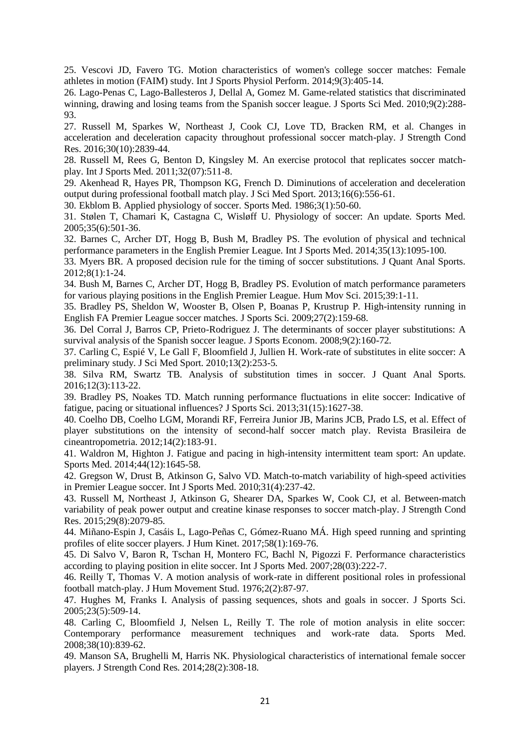25. Vescovi JD, Favero TG. Motion characteristics of women's college soccer matches: Female athletes in motion (FAIM) study. Int J Sports Physiol Perform. 2014;9(3):405-14.

26. Lago-Penas C, Lago-Ballesteros J, Dellal A, Gomez M. Game-related statistics that discriminated winning, drawing and losing teams from the Spanish soccer league. J Sports Sci Med. 2010;9(2):288-93.

27. Russell M, Sparkes W, Northeast J, Cook CJ, Love TD, Bracken RM, et al. Changes in acceleration and deceleration capacity throughout professional soccer match-play. J Strength Cond Res. 2016;30(10):2839-44.

28. Russell M, Rees G, Benton D, Kingsley M. An exercise protocol that replicates soccer matchplay. Int J Sports Med. 2011;32(07):511-8.

29. Akenhead R, Hayes PR, Thompson KG, French D. Diminutions of acceleration and deceleration output during professional football match play. J Sci Med Sport. 2013;16(6):556-61.

30. Ekblom B. Applied physiology of soccer. Sports Med. 1986;3(1):50-60.

31. Stølen T, Chamari K, Castagna C, Wisløff U. Physiology of soccer: An update. Sports Med. 2005;35(6):501-36.

32. Barnes C, Archer DT, Hogg B, Bush M, Bradley PS. The evolution of physical and technical performance parameters in the English Premier League. Int J Sports Med. 2014;35(13):1095-100.

33. Myers BR. A proposed decision rule for the timing of soccer substitutions. J Quant Anal Sports. 2012;8(1):1-24.

34. Bush M, Barnes C, Archer DT, Hogg B, Bradley PS. Evolution of match performance parameters for various playing positions in the English Premier League. Hum Mov Sci. 2015;39:1-11.

35. Bradley PS, Sheldon W, Wooster B, Olsen P, Boanas P, Krustrup P. High-intensity running in English FA Premier League soccer matches. J Sports Sci. 2009;27(2):159-68.

36. Del Corral J, Barros CP, Prieto-Rodriguez J. The determinants of soccer player substitutions: A survival analysis of the Spanish soccer league. J Sports Econom. 2008;9(2):160-72.

37. Carling C, Espié V, Le Gall F, Bloomfield J, Jullien H. Work-rate of substitutes in elite soccer: A preliminary study. J Sci Med Sport. 2010;13(2):253-5.

38. Silva RM, Swartz TB. Analysis of substitution times in soccer. J Quant Anal Sports. 2016;12(3):113-22.

39. Bradley PS, Noakes TD. Match running performance fluctuations in elite soccer: Indicative of fatigue, pacing or situational influences? J Sports Sci. 2013;31(15):1627-38.

40. Coelho DB, Coelho LGM, Morandi RF, Ferreira Junior JB, Marins JCB, Prado LS, et al. Effect of player substitutions on the intensity of second-half soccer match play. Revista Brasileira de cineantropometria. 2012;14(2):183-91.

41. Waldron M, Highton J. Fatigue and pacing in high-intensity intermittent team sport: An update. Sports Med. 2014;44(12):1645-58.

42. Gregson W, Drust B, Atkinson G, Salvo VD. Match-to-match variability of high-speed activities in Premier League soccer. Int J Sports Med. 2010;31(4):237-42.

43. Russell M, Northeast J, Atkinson G, Shearer DA, Sparkes W, Cook CJ, et al. Between-match variability of peak power output and creatine kinase responses to soccer match-play. J Strength Cond Res. 2015;29(8):2079-85.

44. Miñano-Espin J, Casáis L, Lago-Peñas C, Gómez-Ruano MÁ. High speed running and sprinting profiles of elite soccer players. J Hum Kinet. 2017;58(1):169-76.

45. Di Salvo V, Baron R, Tschan H, Montero FC, Bachl N, Pigozzi F. Performance characteristics according to playing position in elite soccer. Int J Sports Med. 2007;28(03):222-7.

46. Reilly T, Thomas V. A motion analysis of work-rate in different positional roles in professional football match-play. J Hum Movement Stud. 1976;2(2):87-97.

47. Hughes M, Franks I. Analysis of passing sequences, shots and goals in soccer. J Sports Sci. 2005;23(5):509-14.

48. Carling C, Bloomfield J, Nelsen L, Reilly T. The role of motion analysis in elite soccer: Contemporary performance measurement techniques and work-rate data. Sports Med. 2008;38(10):839-62.

49. Manson SA, Brughelli M, Harris NK. Physiological characteristics of international female soccer players. J Strength Cond Res. 2014;28(2):308-18.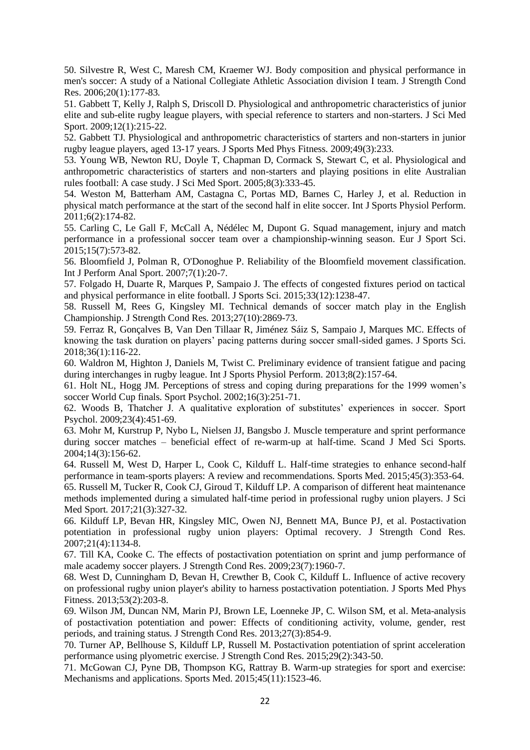50. Silvestre R, West C, Maresh CM, Kraemer WJ. Body composition and physical performance in men's soccer: A study of a National Collegiate Athletic Association division I team. J Strength Cond Res. 2006;20(1):177-83.

51. Gabbett T, Kelly J, Ralph S, Driscoll D. Physiological and anthropometric characteristics of junior elite and sub-elite rugby league players, with special reference to starters and non-starters. J Sci Med Sport. 2009;12(1):215-22.

52. Gabbett TJ. Physiological and anthropometric characteristics of starters and non-starters in junior rugby league players, aged 13-17 years. J Sports Med Phys Fitness. 2009;49(3):233.

53. Young WB, Newton RU, Doyle T, Chapman D, Cormack S, Stewart C, et al. Physiological and anthropometric characteristics of starters and non-starters and playing positions in elite Australian rules football: A case study. J Sci Med Sport. 2005;8(3):333-45.

54. Weston M, Batterham AM, Castagna C, Portas MD, Barnes C, Harley J, et al. Reduction in physical match performance at the start of the second half in elite soccer. Int J Sports Physiol Perform. 2011;6(2):174-82.

55. Carling C, Le Gall F, McCall A, Nédélec M, Dupont G. Squad management, injury and match performance in a professional soccer team over a championship-winning season. Eur J Sport Sci. 2015;15(7):573-82.

56. Bloomfield J, Polman R, O'Donoghue P. Reliability of the Bloomfield movement classification. Int J Perform Anal Sport. 2007;7(1):20-7.

57. Folgado H, Duarte R, Marques P, Sampaio J. The effects of congested fixtures period on tactical and physical performance in elite football. J Sports Sci. 2015;33(12):1238-47.

58. Russell M, Rees G, Kingsley MI. Technical demands of soccer match play in the English Championship. J Strength Cond Res. 2013;27(10):2869-73.

59. Ferraz R, Gonçalves B, Van Den Tillaar R, Jiménez Sáiz S, Sampaio J, Marques MC. Effects of knowing the task duration on players' pacing patterns during soccer small-sided games. J Sports Sci. 2018;36(1):116-22.

60. Waldron M, Highton J, Daniels M, Twist C. Preliminary evidence of transient fatigue and pacing during interchanges in rugby league. Int J Sports Physiol Perform. 2013;8(2):157-64.

61. Holt NL, Hogg JM. Perceptions of stress and coping during preparations for the 1999 women's soccer World Cup finals. Sport Psychol. 2002;16(3):251-71.

62. Woods B, Thatcher J. A qualitative exploration of substitutes' experiences in soccer. Sport Psychol. 2009;23(4):451-69.

63. Mohr M, Kurstrup P, Nybo L, Nielsen JJ, Bangsbo J. Muscle temperature and sprint performance during soccer matches – beneficial effect of re-warm-up at half-time. Scand J Med Sci Sports. 2004;14(3):156-62.

64. Russell M, West D, Harper L, Cook C, Kilduff L. Half-time strategies to enhance second-half performance in team-sports players: A review and recommendations. Sports Med. 2015;45(3):353-64.

65. Russell M, Tucker R, Cook CJ, Giroud T, Kilduff LP. A comparison of different heat maintenance methods implemented during a simulated half-time period in professional rugby union players. J Sci Med Sport. 2017;21(3):327-32.

66. Kilduff LP, Bevan HR, Kingsley MIC, Owen NJ, Bennett MA, Bunce PJ, et al. Postactivation potentiation in professional rugby union players: Optimal recovery. J Strength Cond Res. 2007;21(4):1134-8.

67. Till KA, Cooke C. The effects of postactivation potentiation on sprint and jump performance of male academy soccer players. J Strength Cond Res. 2009;23(7):1960-7.

68. West D, Cunningham D, Bevan H, Crewther B, Cook C, Kilduff L. Influence of active recovery on professional rugby union player's ability to harness postactivation potentiation. J Sports Med Phys Fitness. 2013;53(2):203-8.

69. Wilson JM, Duncan NM, Marin PJ, Brown LE, Loenneke JP, C. Wilson SM, et al. Meta-analysis of postactivation potentiation and power: Effects of conditioning activity, volume, gender, rest periods, and training status. J Strength Cond Res. 2013;27(3):854-9.

70. Turner AP, Bellhouse S, Kilduff LP, Russell M. Postactivation potentiation of sprint acceleration performance using plyometric exercise. J Strength Cond Res. 2015;29(2):343-50.

71. McGowan CJ, Pyne DB, Thompson KG, Rattray B. Warm-up strategies for sport and exercise: Mechanisms and applications. Sports Med. 2015;45(11):1523-46.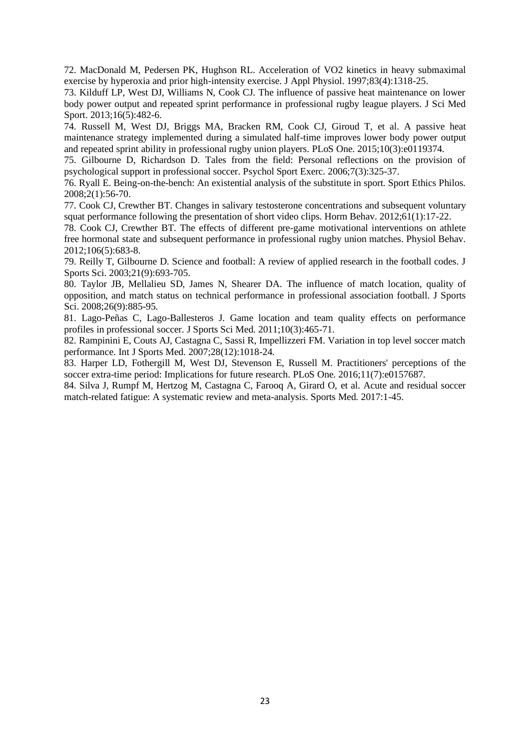72. MacDonald M, Pedersen PK, Hughson RL. Acceleration of VO2 kinetics in heavy submaximal exercise by hyperoxia and prior high-intensity exercise. J Appl Physiol. 1997;83(4):1318-25.

73. Kilduff LP, West DJ, Williams N, Cook CJ. The influence of passive heat maintenance on lower body power output and repeated sprint performance in professional rugby league players. J Sci Med Sport. 2013;16(5):482-6.

74. Russell M, West DJ, Briggs MA, Bracken RM, Cook CJ, Giroud T, et al. A passive heat maintenance strategy implemented during a simulated half-time improves lower body power output and repeated sprint ability in professional rugby union players. PLoS One. 2015;10(3):e0119374.

75. Gilbourne D, Richardson D. Tales from the field: Personal reflections on the provision of psychological support in professional soccer. Psychol Sport Exerc. 2006;7(3):325-37.

76. Ryall E. Being-on-the-bench: An existential analysis of the substitute in sport. Sport Ethics Philos. 2008;2(1):56-70.

77. Cook CJ, Crewther BT. Changes in salivary testosterone concentrations and subsequent voluntary squat performance following the presentation of short video clips. Horm Behav. 2012;61(1):17-22.

78. Cook CJ, Crewther BT. The effects of different pre-game motivational interventions on athlete free hormonal state and subsequent performance in professional rugby union matches. Physiol Behav. 2012;106(5):683-8.

79. Reilly T, Gilbourne D. Science and football: A review of applied research in the football codes. J Sports Sci. 2003;21(9):693-705.

80. Taylor JB, Mellalieu SD, James N, Shearer DA. The influence of match location, quality of opposition, and match status on technical performance in professional association football. J Sports Sci. 2008;26(9):885-95.

81. Lago-Peñas C, Lago-Ballesteros J. Game location and team quality effects on performance profiles in professional soccer. J Sports Sci Med. 2011;10(3):465-71.

82. Rampinini E, Couts AJ, Castagna C, Sassi R, Impellizzeri FM. Variation in top level soccer match performance. Int J Sports Med. 2007;28(12):1018-24.

83. Harper LD, Fothergill M, West DJ, Stevenson E, Russell M. Practitioners' perceptions of the soccer extra-time period: Implications for future research. PLoS One. 2016;11(7):e0157687.

84. Silva J, Rumpf M, Hertzog M, Castagna C, Farooq A, Girard O, et al. Acute and residual soccer match-related fatigue: A systematic review and meta-analysis. Sports Med. 2017:1-45.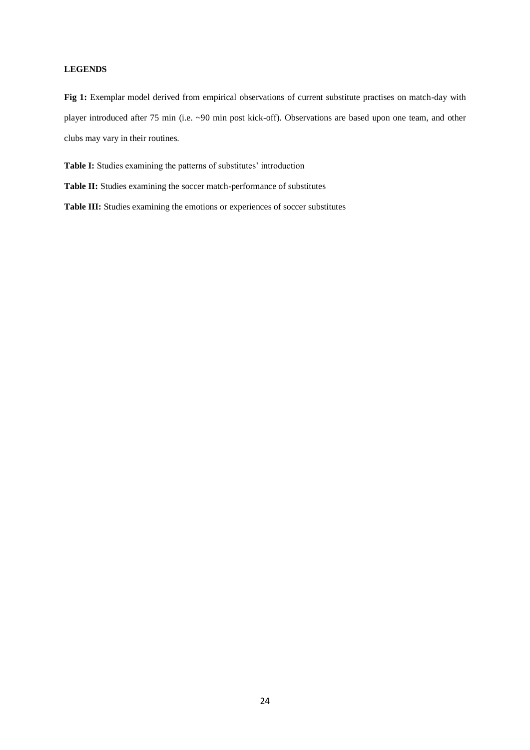# **LEGENDS**

**Fig 1:** Exemplar model derived from empirical observations of current substitute practises on match-day with player introduced after 75 min (i.e. ~90 min post kick-off). Observations are based upon one team, and other clubs may vary in their routines.

**Table I:** Studies examining the patterns of substitutes' introduction

**Table II:** Studies examining the soccer match-performance of substitutes

**Table III:** Studies examining the emotions or experiences of soccer substitutes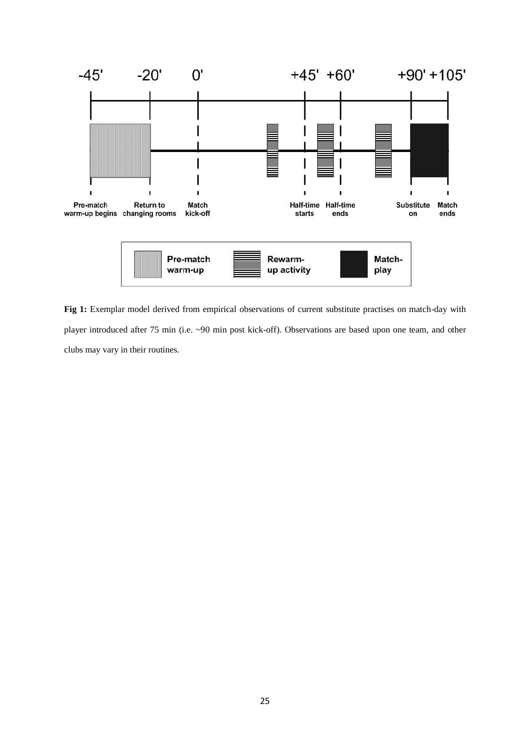

**Fig 1:** Exemplar model derived from empirical observations of current substitute practises on match-day with player introduced after 75 min (i.e. ~90 min post kick-off). Observations are based upon one team, and other clubs may vary in their routines.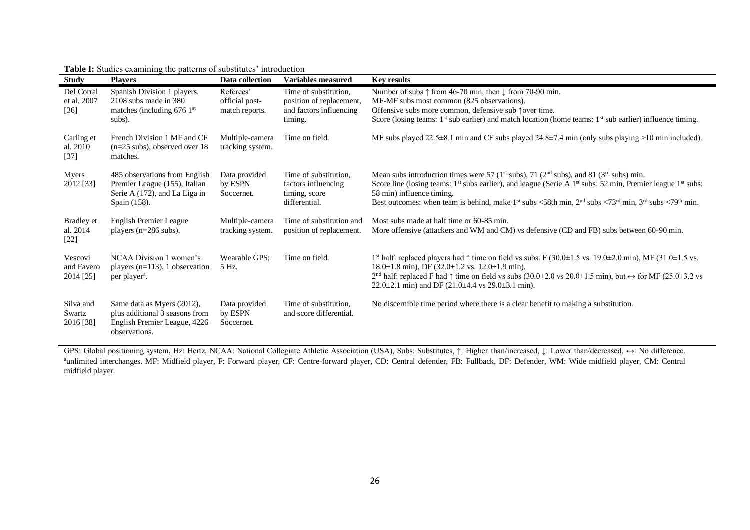| <b>Study</b>                            | <b>Players</b>                                                                                                  | Data collection                               | <b>Variables measured</b>                                                               | <b>Key results</b>                                                                                                                                                                                                                                                                                                                                                                                                    |
|-----------------------------------------|-----------------------------------------------------------------------------------------------------------------|-----------------------------------------------|-----------------------------------------------------------------------------------------|-----------------------------------------------------------------------------------------------------------------------------------------------------------------------------------------------------------------------------------------------------------------------------------------------------------------------------------------------------------------------------------------------------------------------|
| Del Corral<br>et al. 2007<br>$[36]$     | Spanish Division 1 players.<br>$2108$ subs made in 380<br>matches (including $6761$ <sup>st</sup><br>subs).     | Referees'<br>official post-<br>match reports. | Time of substitution,<br>position of replacement,<br>and factors influencing<br>timing. | Number of subs $\uparrow$ from 46-70 min, then $\downarrow$ from 70-90 min.<br>MF-MF subs most common (825 observations).<br>Offensive subs more common, defensive sub fover time.<br>Score (losing teams: $1st$ sub earlier) and match location (home teams: $1st$ sub earlier) influence timing.                                                                                                                    |
| Carling et<br>al. 2010<br>$[37]$        | French Division 1 MF and CF<br>$(n=25 \text{ subs})$ , observed over 18<br>matches.                             | Multiple-camera<br>tracking system.           | Time on field.                                                                          | MF subs played $22.5\pm8.1$ min and CF subs played $24.8\pm7.4$ min (only subs playing >10 min included).                                                                                                                                                                                                                                                                                                             |
| Myers<br>2012 [33]                      | 485 observations from English<br>Premier League (155), Italian<br>Serie A (172), and La Liga in<br>Spain (158). | Data provided<br>by ESPN<br>Soccernet.        | Time of substitution.<br>factors influencing<br>timing, score<br>differential.          | Mean subs introduction times were 57 ( $1st$ subs), 71 ( $2nd$ subs), and 81 ( $3rd$ subs) min.<br>Score line (losing teams: 1 <sup>st</sup> subs earlier), and league (Serie A $1st$ subs: 52 min, Premier league 1 <sup>st</sup> subs:<br>58 min) influence timing.<br>Best outcomes: when team is behind, make 1 <sup>st</sup> subs <58th min, $2nd$ subs <73 <sup>rd</sup> min, $3rd$ subs <79 <sup>th</sup> min. |
| <b>Bradley</b> et<br>al. 2014<br>$[22]$ | <b>English Premier League</b><br>players ( $n=286$ subs).                                                       | Multiple-camera<br>tracking system.           | Time of substitution and<br>position of replacement.                                    | Most subs made at half time or 60-85 min.<br>More offensive (attackers and WM and CM) vs defensive (CD and FB) subs between 60-90 min.                                                                                                                                                                                                                                                                                |
| Vescovi<br>and Favero<br>2014 [25]      | NCAA Division 1 women's<br>players ( $n=113$ ), 1 observation<br>per player <sup>a</sup> .                      | Wearable GPS:<br>5 Hz.                        | Time on field.                                                                          | 1 <sup>st</sup> half: replaced players had $\uparrow$ time on field vs subs: F (30.0±1.5 vs. 19.0±2.0 min), MF (31.0±1.5 vs.<br>$18.0 \pm 1.8$ min), DF (32.0 $\pm 1.2$ vs. $12.0 \pm 1.9$ min).<br>2 <sup>nd</sup> half: replaced F had ↑ time on field vs subs (30.0±2.0 vs 20.0±1.5 min), but $\leftrightarrow$ for MF (25.0±3.2 vs<br>$22.0\pm2.1$ min) and DF (21.0 $\pm4.4$ vs 29.0 $\pm3.1$ min).              |
| Silva and<br>Swartz<br>2016 [38]        | Same data as Myers (2012),<br>plus additional 3 seasons from<br>English Premier League, 4226<br>observations.   | Data provided<br>by ESPN<br>Soccernet.        | Time of substitution.<br>and score differential.                                        | No discernible time period where there is a clear benefit to making a substitution.                                                                                                                                                                                                                                                                                                                                   |

|  | Table I: Studies examining the patterns of substitutes' introduction |
|--|----------------------------------------------------------------------|
|--|----------------------------------------------------------------------|

GPS: Global positioning system, Hz: Hertz, NCAA: National Collegiate Athletic Association (USA), Subs: Substitutes, ↑: Higher than/increased, ↓: Lower than/decreased, ↔: No difference. <sup>a</sup>unlimited interchanges. MF: Midfield player, F: Forward player, CF: Centre-forward player, CD: Central defender, FB: Fullback, DF: Defender, WM: Wide midfield player, CM: Central midfield player.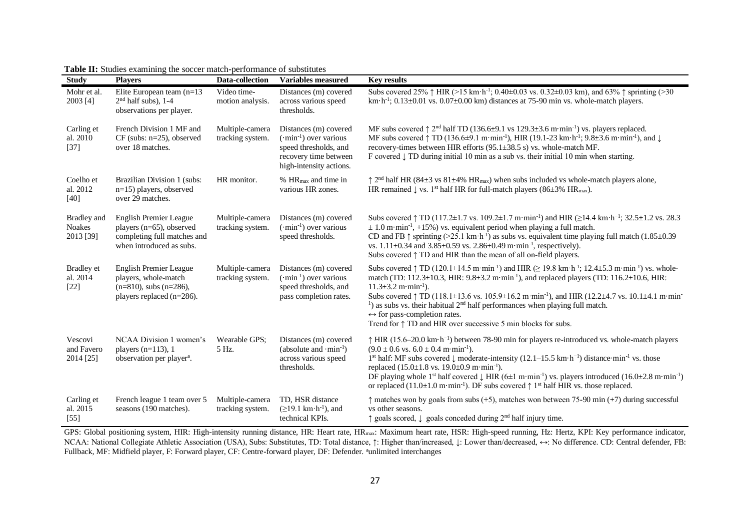| <b>Study</b>                              | <b>Players</b>                                                                                                | Data-collection                     | <b>Variables measured</b>                                                                                                                    | <b>Key results</b>                                                                                                                                                                                                                                                                                                                                                                                                                                                                                                                                                                                                                                                                                                 |
|-------------------------------------------|---------------------------------------------------------------------------------------------------------------|-------------------------------------|----------------------------------------------------------------------------------------------------------------------------------------------|--------------------------------------------------------------------------------------------------------------------------------------------------------------------------------------------------------------------------------------------------------------------------------------------------------------------------------------------------------------------------------------------------------------------------------------------------------------------------------------------------------------------------------------------------------------------------------------------------------------------------------------------------------------------------------------------------------------------|
| Mohr et al.<br>2003 [4]                   | Elite European team $(n=13)$<br>$2nd$ half subs), 1-4<br>observations per player.                             | Video time-<br>motion analysis.     | Distances (m) covered<br>across various speed<br>thresholds.                                                                                 | Subs covered 25% $\uparrow$ HIR (>15 km·h <sup>-1</sup> ; 0.40±0.03 vs. 0.32±0.03 km), and 63% $\uparrow$ sprinting (>30<br>km·h <sup>-1</sup> ; $0.13\pm0.01$ vs. $0.07\pm0.00$ km) distances at 75-90 min vs. whole-match players.                                                                                                                                                                                                                                                                                                                                                                                                                                                                               |
| Carling et<br>al. 2010<br>$[37]$          | French Division 1 MF and<br>$CF$ (subs: $n=25$ ), observed<br>over 18 matches.                                | Multiple-camera<br>tracking system. | Distances (m) covered<br>$(\cdot \text{min}^{-1})$ over various<br>speed thresholds, and<br>recovery time between<br>high-intensity actions. | MF subs covered $\uparrow$ 2 <sup>nd</sup> half TD (136.6±9.1 vs 129.3±3.6 m·min <sup>-1</sup> ) vs. players replaced.<br>MF subs covered $\uparrow$ TD (136.6±9.1 m·min <sup>-1</sup> ), HIR (19.1-23 km·h <sup>-1</sup> ; 9.8±3.6 m·min <sup>-1</sup> ), and $\downarrow$<br>recovery-times between HIR efforts (95.1±38.5 s) vs. whole-match MF.<br>F covered $\downarrow$ TD during initial 10 min as a sub vs. their initial 10 min when starting.                                                                                                                                                                                                                                                            |
| Coelho et<br>al. 2012<br>$[40]$           | Brazilian Division 1 (subs:<br>n=15) players, observed<br>over 29 matches.                                    | HR monitor.                         | $%$ HR <sub>max</sub> and time in<br>various HR zones.                                                                                       | $\uparrow$ 2 <sup>nd</sup> half HR (84±3 vs 81±4% HR <sub>max</sub> ) when subs included vs whole-match players alone,<br>HR remained $\downarrow$ vs. 1 <sup>st</sup> half HR for full-match players (86±3% HR <sub>max</sub> ).                                                                                                                                                                                                                                                                                                                                                                                                                                                                                  |
| Bradley and<br><b>Noakes</b><br>2013 [39] | English Premier League<br>players (n=65), observed<br>completing full matches and<br>when introduced as subs. | Multiple-camera<br>tracking system. | Distances (m) covered<br>$(\cdot \text{min}^{-1})$ over various<br>speed thresholds.                                                         | Subs covered $\uparrow$ TD (117.2±1.7 vs. 109.2±1.7 m·min <sup>-1</sup> ) and HIR ( $\geq$ 14.4 km·h <sup>-1</sup> ; 32.5±1.2 vs. 28.3<br>$\pm$ 1.0 m·min <sup>-1</sup> , +15%) vs. equivalent period when playing a full match.<br>CD and FB $\uparrow$ sprinting (>25.1 km·h <sup>-1</sup> ) as subs vs. equivalent time playing full match (1.85±0.39<br>vs. $1.11 \pm 0.34$ and $3.85 \pm 0.59$ vs. $2.86 \pm 0.49$ m·min <sup>-1</sup> , respectively).<br>Subs covered $\uparrow$ TD and HIR than the mean of all on-field players.                                                                                                                                                                          |
| Bradley et<br>al. 2014<br>$[22]$          | English Premier League<br>players, whole-match<br>$(n=810)$ , subs $(n=286)$ ,<br>players replaced (n=286).   | Multiple-camera<br>tracking system. | Distances (m) covered<br>$(\cdot \text{min}^{-1})$ over various<br>speed thresholds, and<br>pass completion rates.                           | Subs covered $\uparrow$ TD (120.1±14.5 m·min <sup>-1</sup> ) and HIR ( $\geq$ 19.8 km·h <sup>-1</sup> ; 12.4±5.3 m·min <sup>-1</sup> ) vs. whole-<br>match (TD: 112.3 $\pm$ 10.3, HIR: 9.8 $\pm$ 3.2 m·min <sup>-1</sup> ), and replaced players (TD: 116.2 $\pm$ 10.6, HIR:<br>$11.3 \pm 3.2$ m·min <sup>-1</sup> ).<br>Subs covered $\uparrow$ TD (118.1±13.6 vs. 105.9±16.2 m·min <sup>-1</sup> ), and HIR (12.2±4.7 vs. 10.1±4.1 m·min <sup>-1</sup> )<br>$\frac{1}{1}$ ) as subs vs. their habitual $2nd$ half performances when playing full match.<br>$\leftrightarrow$ for pass-completion rates.<br>Trend for $\uparrow$ TD and HIR over successive 5 min blocks for subs.                                |
| Vescovi<br>and Favero<br>2014 [25]        | NCAA Division 1 women's<br>players $(n=113)$ , 1<br>observation per player <sup>a</sup> .                     | Wearable GPS;<br>5 Hz.              | Distances (m) covered<br>(absolute and $\cdot$ min <sup>-1</sup> )<br>across various speed<br>thresholds.                                    | $\uparrow$ HIR (15.6–20.0 km·h <sup>-1</sup> ) between 78-90 min for players re-introduced vs. whole-match players<br>$(9.0 \pm 0.6 \text{ vs. } 6.0 \pm 0.4 \text{ m} \cdot \text{min}^{-1}).$<br>1 <sup>st</sup> half: MF subs covered $\downarrow$ moderate-intensity (12.1–15.5 km·h <sup>-1</sup> ) distance·min <sup>-1</sup> vs. those<br>replaced $(15.0 \pm 1.8 \text{ vs. } 19.0 \pm 0.9 \text{ m} \cdot \text{min}^{-1})$ .<br>DF playing whole 1 <sup>st</sup> half covered $\downarrow$ HIR (6±1 m·min <sup>-1</sup> ) vs. players introduced (16.0±2.8 m·min <sup>-1</sup> )<br>or replaced (11.0±1.0 m·min <sup>-1</sup> ). DF subs covered $\uparrow$ 1 <sup>st</sup> half HIR vs. those replaced. |
| Carling et<br>al. 2015<br>$[55]$          | French league 1 team over 5<br>seasons (190 matches).                                                         | Multiple-camera<br>tracking system. | TD, HSR distance<br>$( \geq 19.1 \text{ km} \cdot \text{h}^{-1})$ , and<br>technical KPIs.                                                   | $\uparrow$ matches won by goals from subs (+5), matches won between 75-90 min (+7) during successful<br>vs other seasons.<br>$\uparrow$ goals scored, $\downarrow$ goals conceded during 2 <sup>nd</sup> half injury time.                                                                                                                                                                                                                                                                                                                                                                                                                                                                                         |

**Table II:** Studies examining the soccer match-performance of substitutes

GPS: Global positioning system, HIR: High-intensity running distance, HR: Heart rate, HR<sub>max</sub>: Maximum heart rate, HSR: High-speed running, Hz: Hertz, KPI: Key performance indicator, NCAA: National Collegiate Athletic Association (USA), Subs: Substitutes, TD: Total distance, ↑: Higher than/increased, ↓: Lower than/decreased, ↔: No difference. CD: Central defender, FB: Fullback, MF: Midfield player, F: Forward player, CF: Centre-forward player, DF: Defender. <sup>a</sup>unlimited interchanges